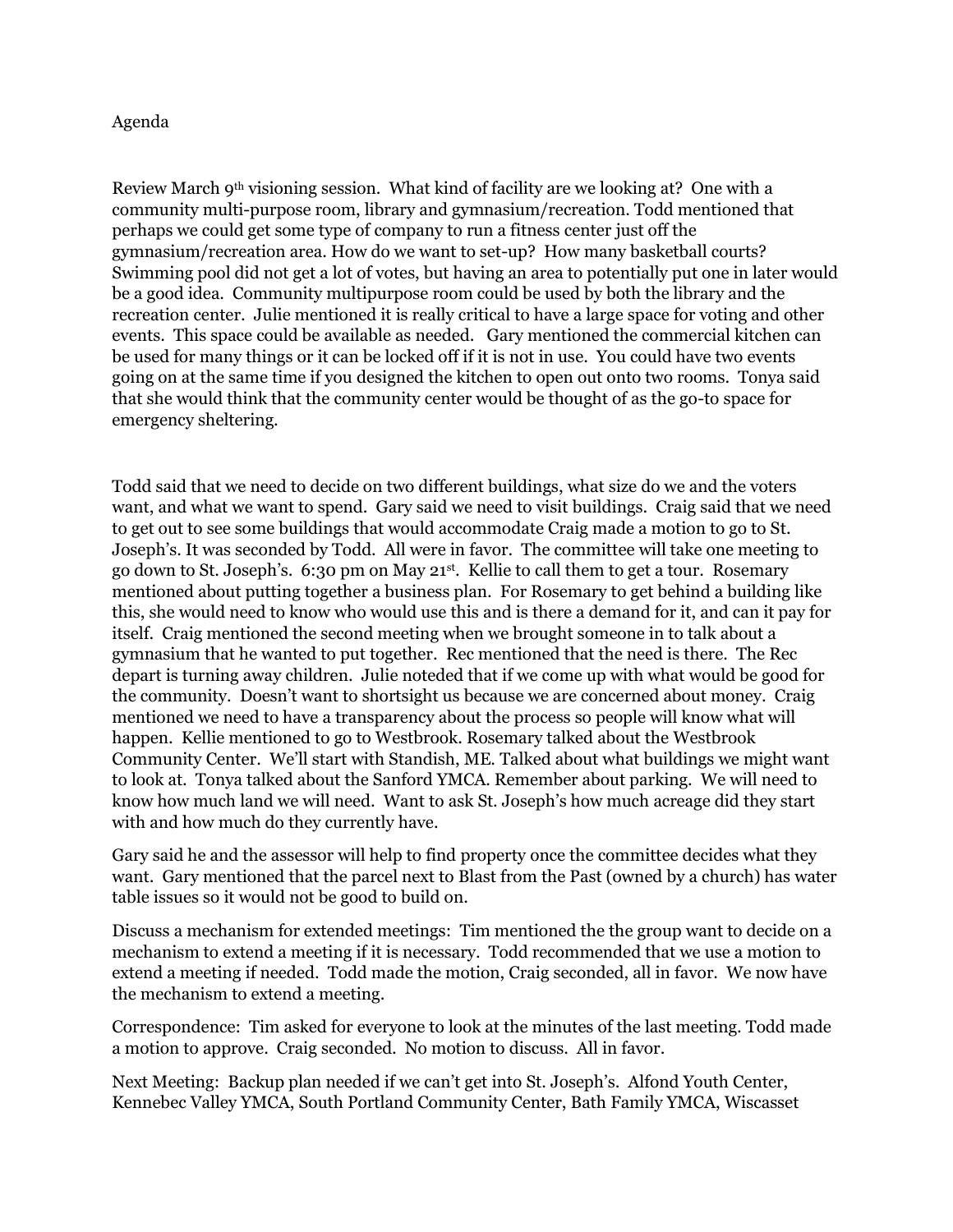## Agenda

Review March 9<sup>th</sup> visioning session. What kind of facility are we looking at? One with a community multi-purpose room, library and gymnasium/recreation. Todd mentioned that perhaps we could get some type of company to run a fitness center just off the gymnasium/recreation area. How do we want to set-up? How many basketball courts? Swimming pool did not get a lot of votes, but having an area to potentially put one in later would be a good idea. Community multipurpose room could be used by both the library and the recreation center. Julie mentioned it is really critical to have a large space for voting and other events. This space could be available as needed. Gary mentioned the commercial kitchen can be used for many things or it can be locked off if it is not in use. You could have two events going on at the same time if you designed the kitchen to open out onto two rooms. Tonya said that she would think that the community center would be thought of as the go-to space for emergency sheltering.

Todd said that we need to decide on two different buildings, what size do we and the voters want, and what we want to spend. Gary said we need to visit buildings. Craig said that we need to get out to see some buildings that would accommodate Craig made a motion to go to St. Joseph's. It was seconded by Todd. All were in favor. The committee will take one meeting to go down to St. Joseph's. 6:30 pm on May 21st. Kellie to call them to get a tour. Rosemary mentioned about putting together a business plan. For Rosemary to get behind a building like this, she would need to know who would use this and is there a demand for it, and can it pay for itself. Craig mentioned the second meeting when we brought someone in to talk about a gymnasium that he wanted to put together. Rec mentioned that the need is there. The Rec depart is turning away children. Julie noteded that if we come up with what would be good for the community. Doesn't want to shortsight us because we are concerned about money. Craig mentioned we need to have a transparency about the process so people will know what will happen. Kellie mentioned to go to Westbrook. Rosemary talked about the Westbrook Community Center. We'll start with Standish, ME. Talked about what buildings we might want to look at. Tonya talked about the Sanford YMCA. Remember about parking. We will need to know how much land we will need. Want to ask St. Joseph's how much acreage did they start with and how much do they currently have.

Gary said he and the assessor will help to find property once the committee decides what they want. Gary mentioned that the parcel next to Blast from the Past (owned by a church) has water table issues so it would not be good to build on.

Discuss a mechanism for extended meetings: Tim mentioned the the group want to decide on a mechanism to extend a meeting if it is necessary. Todd recommended that we use a motion to extend a meeting if needed. Todd made the motion, Craig seconded, all in favor. We now have the mechanism to extend a meeting.

Correspondence: Tim asked for everyone to look at the minutes of the last meeting. Todd made a motion to approve. Craig seconded. No motion to discuss. All in favor.

Next Meeting: Backup plan needed if we can't get into St. Joseph's. Alfond Youth Center, Kennebec Valley YMCA, South Portland Community Center, Bath Family YMCA, Wiscasset